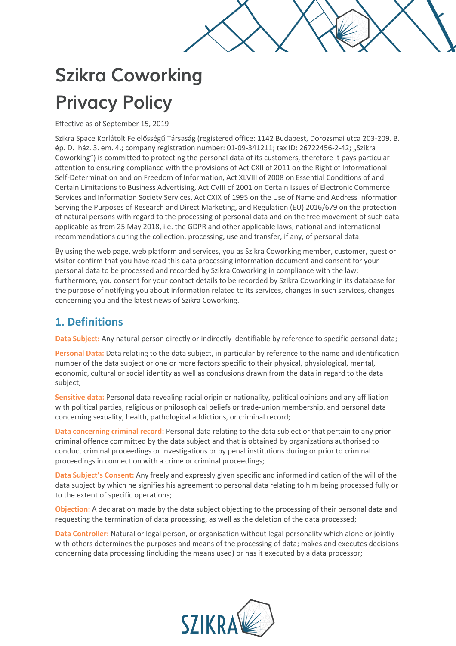

# **Szikra Coworking Privacy Policy**

Effective as of September 15, 2019

Szikra Space Korlátolt Felelősségű Társaság (registered office: 1142 Budapest, Dorozsmai utca 203-209. B. ép. D. lház. 3. em. 4.; company registration number: 01-09-341211; tax ID: 26722456-2-42; "Szikra Coworking") is committed to protecting the personal data of its customers, therefore it pays particular attention to ensuring compliance with the provisions of Act CXII of 2011 on the Right of Informational Self-Determination and on Freedom of Information, Act XLVIII of 2008 on Essential Conditions of and Certain Limitations to Business Advertising, Act CVIII of 2001 on Certain Issues of Electronic Commerce Services and Information Society Services, Act CXIX of 1995 on the Use of Name and Address Information Serving the Purposes of Research and Direct Marketing, and Regulation (EU) 2016/679 on the protection of natural persons with regard to the processing of personal data and on the free movement of such data applicable as from 25 May 2018, i.e. the GDPR and other applicable laws, national and international recommendations during the collection, processing, use and transfer, if any, of personal data.

By using the web page, web platform and services, you as Szikra Coworking member, customer, guest or visitor confirm that you have read this data processing information document and consent for your personal data to be processed and recorded by Szikra Coworking in compliance with the law; furthermore, you consent for your contact details to be recorded by Szikra Coworking in its database for the purpose of notifying you about information related to its services, changes in such services, changes concerning you and the latest news of Szikra Coworking.

# **1. Definitions**

**Data Subject:** Any natural person directly or indirectly identifiable by reference to specific personal data;

**Personal Data:** Data relating to the data subject, in particular by reference to the name and identification number of the data subject or one or more factors specific to their physical, physiological, mental, economic, cultural or social identity as well as conclusions drawn from the data in regard to the data subject;

**Sensitive data:** Personal data revealing racial origin or nationality, political opinions and any affiliation with political parties, religious or philosophical beliefs or trade-union membership, and personal data concerning sexuality, health, pathological addictions, or criminal record;

**Data concerning criminal record:** Personal data relating to the data subject or that pertain to any prior criminal offence committed by the data subject and that is obtained by organizations authorised to conduct criminal proceedings or investigations or by penal institutions during or prior to criminal proceedings in connection with a crime or criminal proceedings;

**Data Subject's Consent:** Any freely and expressly given specific and informed indication of the will of the data subject by which he signifies his agreement to personal data relating to him being processed fully or to the extent of specific operations;

**Objection:** A declaration made by the data subject objecting to the processing of their personal data and requesting the termination of data processing, as well as the deletion of the data processed;

**Data Controller:** Natural or legal person, or organisation without legal personality which alone or jointly with others determines the purposes and means of the processing of data; makes and executes decisions concerning data processing (including the means used) or has it executed by a data processor;

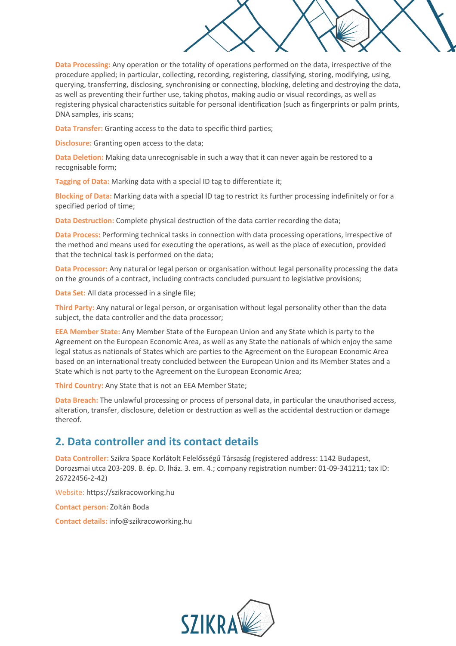**Data Processing:** Any operation or the totality of operations performed on the data, irrespective of the procedure applied; in particular, collecting, recording, registering, classifying, storing, modifying, using, querying, transferring, disclosing, synchronising or connecting, blocking, deleting and destroying the data, as well as preventing their further use, taking photos, making audio or visual recordings, as well as registering physical characteristics suitable for personal identification (such as fingerprints or palm prints, DNA samples, iris scans;

**Data Transfer:** Granting access to the data to specific third parties;

**Disclosure:** Granting open access to the data;

**Data Deletion:** Making data unrecognisable in such a way that it can never again be restored to a recognisable form;

**Tagging of Data:** Marking data with a special ID tag to differentiate it;

**Blocking of Data:** Marking data with a special ID tag to restrict its further processing indefinitely or for a specified period of time;

**Data Destruction:** Complete physical destruction of the data carrier recording the data;

**Data Process:** Performing technical tasks in connection with data processing operations, irrespective of the method and means used for executing the operations, as well as the place of execution, provided that the technical task is performed on the data;

**Data Processor:** Any natural or legal person or organisation without legal personality processing the data on the grounds of a contract, including contracts concluded pursuant to legislative provisions;

**Data Set:** All data processed in a single file;

**Third Party:** Any natural or legal person, or organisation without legal personality other than the data subject, the data controller and the data processor;

**EEA Member State:** Any Member State of the European Union and any State which is party to the Agreement on the European Economic Area, as well as any State the nationals of which enjoy the same legal status as nationals of States which are parties to the Agreement on the European Economic Area based on an international treaty concluded between the European Union and its Member States and a State which is not party to the Agreement on the European Economic Area;

**Third Country:** Any State that is not an EEA Member State;

**Data Breach:** The unlawful processing or process of personal data, in particular the unauthorised access, alteration, transfer, disclosure, deletion or destruction as well as the accidental destruction or damage thereof.

#### **2. Data controller and its contact details**

**Data Controller:** Szikra Space Korlátolt Felelősségű Társaság (registered address: 1142 Budapest, Dorozsmai utca 203-209. B. ép. D. lház. 3. em. 4.; company registration number: 01-09-341211; tax ID: 26722456-2-42)

Website: https://szikracoworking.hu

**Contact person:** Zoltán Boda

**Contact details:** info@szikracoworking.hu

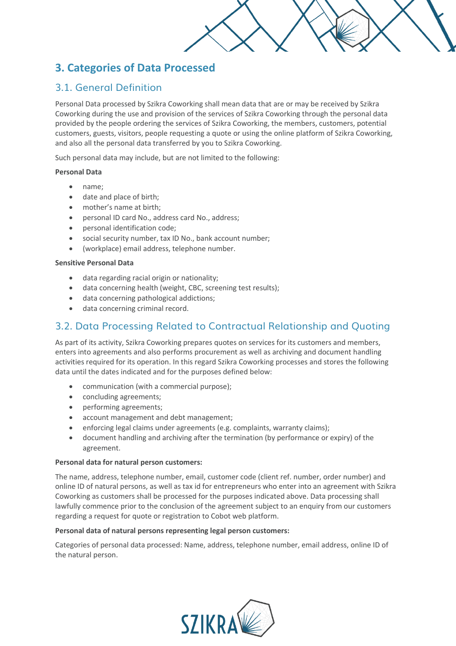# **3. Categories of Data Processed**

### 3.1. General Definition

Personal Data processed by Szikra Coworking shall mean data that are or may be received by Szikra Coworking during the use and provision of the services of Szikra Coworking through the personal data provided by the people ordering the services of Szikra Coworking, the members, customers, potential customers, guests, visitors, people requesting a quote or using the online platform of Szikra Coworking, and also all the personal data transferred by you to Szikra Coworking.

Such personal data may include, but are not limited to the following:

#### **Personal Data**

- name;
- date and place of birth;
- mother's name at birth;
- personal ID card No., address card No., address;
- personal identification code;
- social security number, tax ID No., bank account number;
- (workplace) email address, telephone number.

#### **Sensitive Personal Data**

- data regarding racial origin or nationality;
- data concerning health (weight, CBC, screening test results);
- data concerning pathological addictions;
- data concerning criminal record.

# 3.2. Data Processing Related to Contractual Relationship and Quoting

As part of its activity, Szikra Coworking prepares quotes on services for its customers and members, enters into agreements and also performs procurement as well as archiving and document handling activities required for its operation. In this regard Szikra Coworking processes and stores the following data until the dates indicated and for the purposes defined below:

- communication (with a commercial purpose);
- concluding agreements;
- performing agreements;
- account management and debt management;
- enforcing legal claims under agreements (e.g. complaints, warranty claims);
- document handling and archiving after the termination (by performance or expiry) of the agreement.

#### **Personal data for natural person customers:**

The name, address, telephone number, email, customer code (client ref. number, order number) and online ID of natural persons, as well as tax id for entrepreneurs who enter into an agreement with Szikra Coworking as customers shall be processed for the purposes indicated above. Data processing shall lawfully commence prior to the conclusion of the agreement subject to an enquiry from our customers regarding a request for quote or registration to Cobot web platform.

#### **Personal data of natural persons representing legal person customers:**

Categories of personal data processed: Name, address, telephone number, email address, online ID of the natural person.

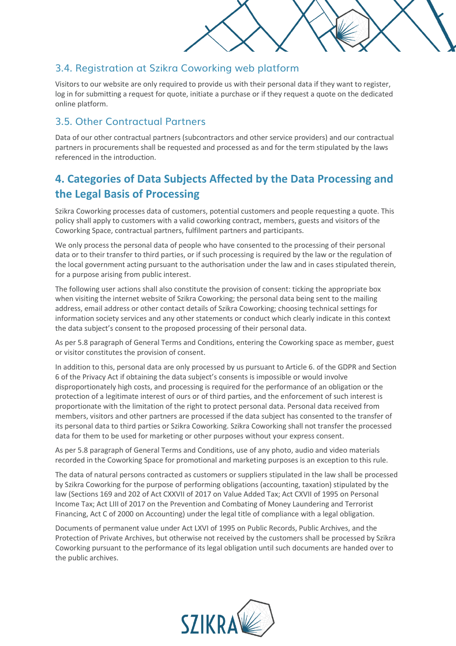

#### 3.4. Registration at Szikra Coworking web platform

Visitors to our website are only required to provide us with their personal data if they want to register, log in for submitting a request for quote, initiate a purchase or if they request a quote on the dedicated online platform.

### 3.5. Other Contractual Partners

Data of our other contractual partners (subcontractors and other service providers) and our contractual partners in procurements shall be requested and processed as and for the term stipulated by the laws referenced in the introduction.

# **4. Categories of Data Subjects Affected by the Data Processing and the Legal Basis of Processing**

Szikra Coworking processes data of customers, potential customers and people requesting a quote. This policy shall apply to customers with a valid coworking contract, members, guests and visitors of the Coworking Space, contractual partners, fulfilment partners and participants.

We only process the personal data of people who have consented to the processing of their personal data or to their transfer to third parties, or if such processing is required by the law or the regulation of the local government acting pursuant to the authorisation under the law and in cases stipulated therein, for a purpose arising from public interest.

The following user actions shall also constitute the provision of consent: ticking the appropriate box when visiting the internet website of Szikra Coworking; the personal data being sent to the mailing address, email address or other contact details of Szikra Coworking; choosing technical settings for information society services and any other statements or conduct which clearly indicate in this context the data subject's consent to the proposed processing of their personal data.

As per 5.8 paragraph of General Terms and Conditions, entering the Coworking space as member, guest or visitor constitutes the provision of consent.

In addition to this, personal data are only processed by us pursuant to Article 6. of the GDPR and Section 6 of the Privacy Act if obtaining the data subject's consents is impossible or would involve disproportionately high costs, and processing is required for the performance of an obligation or the protection of a legitimate interest of ours or of third parties, and the enforcement of such interest is proportionate with the limitation of the right to protect personal data. Personal data received from members, visitors and other partners are processed if the data subject has consented to the transfer of its personal data to third parties or Szikra Coworking. Szikra Coworking shall not transfer the processed data for them to be used for marketing or other purposes without your express consent.

As per 5.8 paragraph of General Terms and Conditions, use of any photo, audio and video materials recorded in the Coworking Space for promotional and marketing purposes is an exception to this rule.

The data of natural persons contracted as customers or suppliers stipulated in the law shall be processed by Szikra Coworking for the purpose of performing obligations (accounting, taxation) stipulated by the law (Sections 169 and 202 of Act CXXVII of 2017 on Value Added Tax; Act CXVII of 1995 on Personal Income Tax; Act LIII of 2017 on the Prevention and Combating of Money Laundering and Terrorist Financing, Act C of 2000 on Accounting) under the legal title of compliance with a legal obligation.

Documents of permanent value under Act LXVI of 1995 on Public Records, Public Archives, and the Protection of Private Archives, but otherwise not received by the customers shall be processed by Szikra Coworking pursuant to the performance of its legal obligation until such documents are handed over to the public archives.

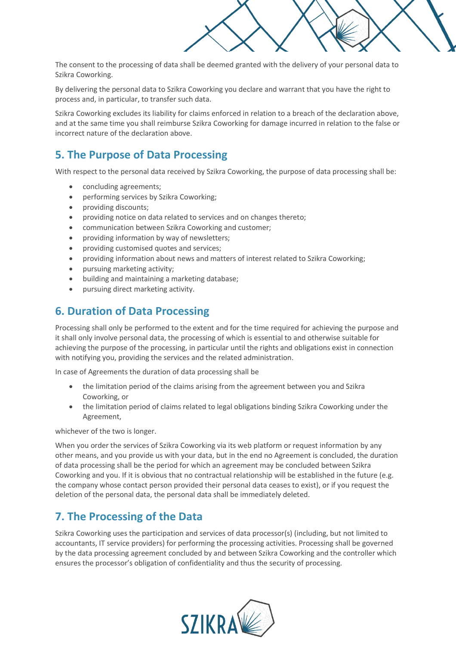

The consent to the processing of data shall be deemed granted with the delivery of your personal data to Szikra Coworking.

By delivering the personal data to Szikra Coworking you declare and warrant that you have the right to process and, in particular, to transfer such data.

Szikra Coworking excludes its liability for claims enforced in relation to a breach of the declaration above, and at the same time you shall reimburse Szikra Coworking for damage incurred in relation to the false or incorrect nature of the declaration above.

# **5. The Purpose of Data Processing**

With respect to the personal data received by Szikra Coworking, the purpose of data processing shall be:

- concluding agreements;
- performing services by Szikra Coworking;
- providing discounts;
- providing notice on data related to services and on changes thereto;
- communication between Szikra Coworking and customer;
- providing information by way of newsletters;
- providing customised quotes and services;
- providing information about news and matters of interest related to Szikra Coworking;
- pursuing marketing activity;
- building and maintaining a marketing database;
- pursuing direct marketing activity.

# **6. Duration of Data Processing**

Processing shall only be performed to the extent and for the time required for achieving the purpose and it shall only involve personal data, the processing of which is essential to and otherwise suitable for achieving the purpose of the processing, in particular until the rights and obligations exist in connection with notifying you, providing the services and the related administration.

In case of Agreements the duration of data processing shall be

- the limitation period of the claims arising from the agreement between you and Szikra Coworking, or
- the limitation period of claims related to legal obligations binding Szikra Coworking under the Agreement,

whichever of the two is longer.

When you order the services of Szikra Coworking via its web platform or request information by any other means, and you provide us with your data, but in the end no Agreement is concluded, the duration of data processing shall be the period for which an agreement may be concluded between Szikra Coworking and you. If it is obvious that no contractual relationship will be established in the future (e.g. the company whose contact person provided their personal data ceases to exist), or if you request the deletion of the personal data, the personal data shall be immediately deleted.

# **7. The Processing of the Data**

Szikra Coworking uses the participation and services of data processor(s) (including, but not limited to accountants, IT service providers) for performing the processing activities. Processing shall be governed by the data processing agreement concluded by and between Szikra Coworking and the controller which ensures the processor's obligation of confidentiality and thus the security of processing.

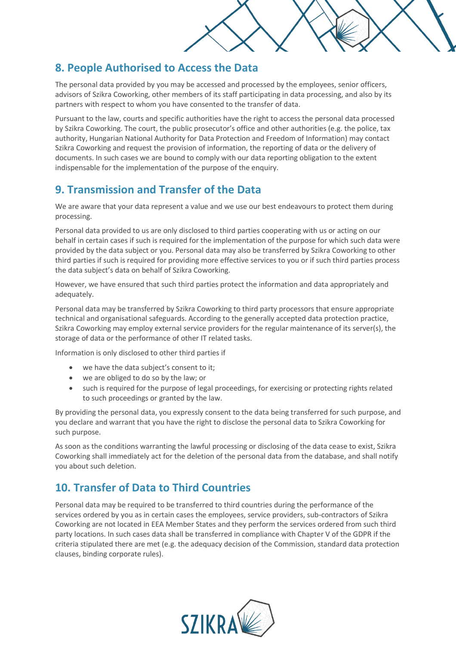

# **8. People Authorised to Access the Data**

The personal data provided by you may be accessed and processed by the employees, senior officers, advisors of Szikra Coworking, other members of its staff participating in data processing, and also by its partners with respect to whom you have consented to the transfer of data.

Pursuant to the law, courts and specific authorities have the right to access the personal data processed by Szikra Coworking. The court, the public prosecutor's office and other authorities (e.g. the police, tax authority, Hungarian National Authority for Data Protection and Freedom of Information) may contact Szikra Coworking and request the provision of information, the reporting of data or the delivery of documents. In such cases we are bound to comply with our data reporting obligation to the extent indispensable for the implementation of the purpose of the enquiry.

# **9. Transmission and Transfer of the Data**

We are aware that your data represent a value and we use our best endeavours to protect them during processing.

Personal data provided to us are only disclosed to third parties cooperating with us or acting on our behalf in certain cases if such is required for the implementation of the purpose for which such data were provided by the data subject or you. Personal data may also be transferred by Szikra Coworking to other third parties if such is required for providing more effective services to you or if such third parties process the data subject's data on behalf of Szikra Coworking.

However, we have ensured that such third parties protect the information and data appropriately and adequately.

Personal data may be transferred by Szikra Coworking to third party processors that ensure appropriate technical and organisational safeguards. According to the generally accepted data protection practice, Szikra Coworking may employ external service providers for the regular maintenance of its server(s), the storage of data or the performance of other IT related tasks.

Information is only disclosed to other third parties if

- we have the data subject's consent to it;
- we are obliged to do so by the law; or
- such is required for the purpose of legal proceedings, for exercising or protecting rights related to such proceedings or granted by the law.

By providing the personal data, you expressly consent to the data being transferred for such purpose, and you declare and warrant that you have the right to disclose the personal data to Szikra Coworking for such purpose.

As soon as the conditions warranting the lawful processing or disclosing of the data cease to exist, Szikra Coworking shall immediately act for the deletion of the personal data from the database, and shall notify you about such deletion.

# **10. Transfer of Data to Third Countries**

Personal data may be required to be transferred to third countries during the performance of the services ordered by you as in certain cases the employees, service providers, sub-contractors of Szikra Coworking are not located in EEA Member States and they perform the services ordered from such third party locations. In such cases data shall be transferred in compliance with Chapter V of the GDPR if the criteria stipulated there are met (e.g. the adequacy decision of the Commission, standard data protection clauses, binding corporate rules).

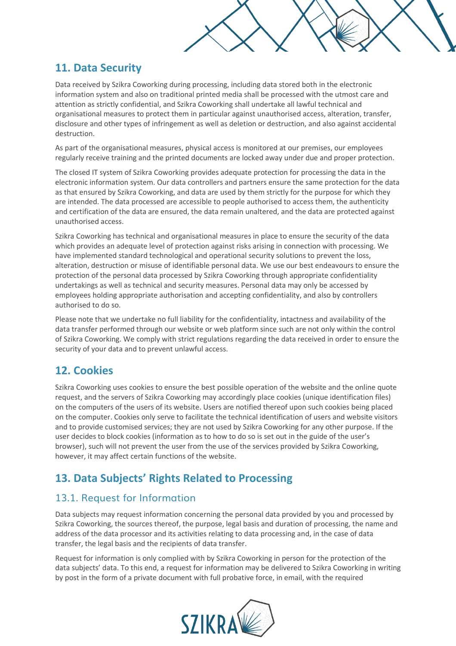# **11. Data Security**

Data received by Szikra Coworking during processing, including data stored both in the electronic information system and also on traditional printed media shall be processed with the utmost care and attention as strictly confidential, and Szikra Coworking shall undertake all lawful technical and organisational measures to protect them in particular against unauthorised access, alteration, transfer, disclosure and other types of infringement as well as deletion or destruction, and also against accidental destruction.

As part of the organisational measures, physical access is monitored at our premises, our employees regularly receive training and the printed documents are locked away under due and proper protection.

The closed IT system of Szikra Coworking provides adequate protection for processing the data in the electronic information system. Our data controllers and partners ensure the same protection for the data as that ensured by Szikra Coworking, and data are used by them strictly for the purpose for which they are intended. The data processed are accessible to people authorised to access them, the authenticity and certification of the data are ensured, the data remain unaltered, and the data are protected against unauthorised access.

Szikra Coworking has technical and organisational measures in place to ensure the security of the data which provides an adequate level of protection against risks arising in connection with processing. We have implemented standard technological and operational security solutions to prevent the loss, alteration, destruction or misuse of identifiable personal data. We use our best endeavours to ensure the protection of the personal data processed by Szikra Coworking through appropriate confidentiality undertakings as well as technical and security measures. Personal data may only be accessed by employees holding appropriate authorisation and accepting confidentiality, and also by controllers authorised to do so.

Please note that we undertake no full liability for the confidentiality, intactness and availability of the data transfer performed through our website or web platform since such are not only within the control of Szikra Coworking. We comply with strict regulations regarding the data received in order to ensure the security of your data and to prevent unlawful access.

# **12. Cookies**

Szikra Coworking uses cookies to ensure the best possible operation of the website and the online quote request, and the servers of Szikra Coworking may accordingly place cookies (unique identification files) on the computers of the users of its website. Users are notified thereof upon such cookies being placed on the computer. Cookies only serve to facilitate the technical identification of users and website visitors and to provide customised services; they are not used by Szikra Coworking for any other purpose. If the user decides to block cookies (information as to how to do so is set out in the guide of the user's browser), such will not prevent the user from the use of the services provided by Szikra Coworking, however, it may affect certain functions of the website.

# **13. Data Subjects' Rights Related to Processing**

#### 13.1. Request for Information

Data subjects may request information concerning the personal data provided by you and processed by Szikra Coworking, the sources thereof, the purpose, legal basis and duration of processing, the name and address of the data processor and its activities relating to data processing and, in the case of data transfer, the legal basis and the recipients of data transfer.

Request for information is only complied with by Szikra Coworking in person for the protection of the data subjects' data. To this end, a request for information may be delivered to Szikra Coworking in writing by post in the form of a private document with full probative force, in email, with the required

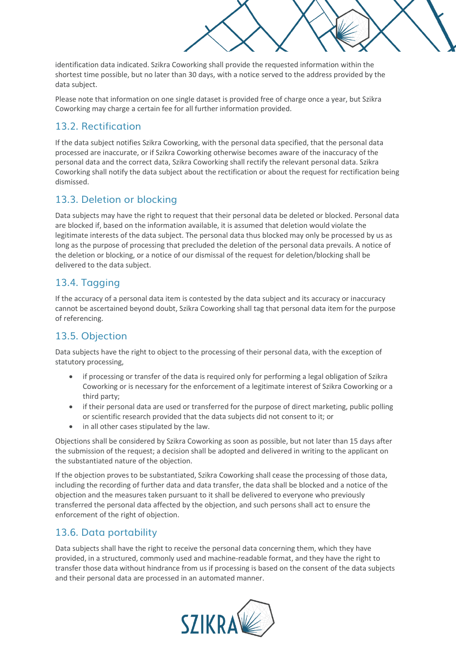identification data indicated. Szikra Coworking shall provide the requested information within the shortest time possible, but no later than 30 days, with a notice served to the address provided by the data subject.

Please note that information on one single dataset is provided free of charge once a year, but Szikra Coworking may charge a certain fee for all further information provided.

# 13.2. Rectification

If the data subject notifies Szikra Coworking, with the personal data specified, that the personal data processed are inaccurate, or if Szikra Coworking otherwise becomes aware of the inaccuracy of the personal data and the correct data, Szikra Coworking shall rectify the relevant personal data. Szikra Coworking shall notify the data subject about the rectification or about the request for rectification being dismissed.

# 13.3. Deletion or blocking

Data subjects may have the right to request that their personal data be deleted or blocked. Personal data are blocked if, based on the information available, it is assumed that deletion would violate the legitimate interests of the data subject. The personal data thus blocked may only be processed by us as long as the purpose of processing that precluded the deletion of the personal data prevails. A notice of the deletion or blocking, or a notice of our dismissal of the request for deletion/blocking shall be delivered to the data subject.

# 13.4. Tagging

If the accuracy of a personal data item is contested by the data subject and its accuracy or inaccuracy cannot be ascertained beyond doubt, Szikra Coworking shall tag that personal data item for the purpose of referencing.

# 13.5. Objection

Data subjects have the right to object to the processing of their personal data, with the exception of statutory processing,

- if processing or transfer of the data is required only for performing a legal obligation of Szikra Coworking or is necessary for the enforcement of a legitimate interest of Szikra Coworking or a third party;
- if their personal data are used or transferred for the purpose of direct marketing, public polling or scientific research provided that the data subjects did not consent to it; or
- in all other cases stipulated by the law.

Objections shall be considered by Szikra Coworking as soon as possible, but not later than 15 days after the submission of the request; a decision shall be adopted and delivered in writing to the applicant on the substantiated nature of the objection.

If the objection proves to be substantiated, Szikra Coworking shall cease the processing of those data, including the recording of further data and data transfer, the data shall be blocked and a notice of the objection and the measures taken pursuant to it shall be delivered to everyone who previously transferred the personal data affected by the objection, and such persons shall act to ensure the enforcement of the right of objection.

#### 13.6. Data portability

Data subjects shall have the right to receive the personal data concerning them, which they have provided, in a structured, commonly used and machine-readable format, and they have the right to transfer those data without hindrance from us if processing is based on the consent of the data subjects and their personal data are processed in an automated manner.

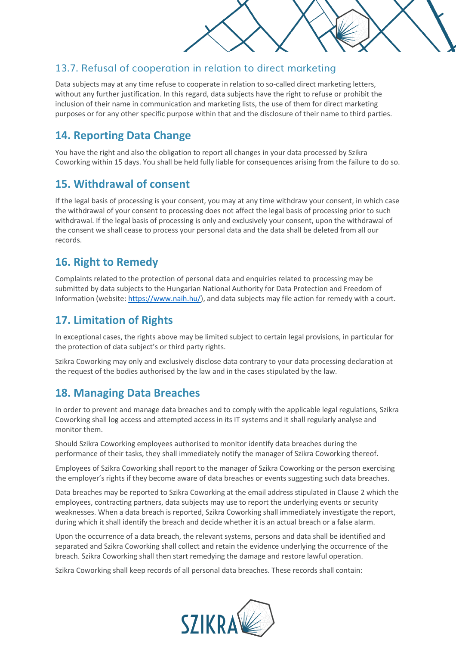#### 13.7. Refusal of cooperation in relation to direct marketing

Data subjects may at any time refuse to cooperate in relation to so-called direct marketing letters, without any further justification. In this regard, data subjects have the right to refuse or prohibit the inclusion of their name in communication and marketing lists, the use of them for direct marketing purposes or for any other specific purpose within that and the disclosure of their name to third parties.

# **14. Reporting Data Change**

You have the right and also the obligation to report all changes in your data processed by Szikra Coworking within 15 days. You shall be held fully liable for consequences arising from the failure to do so.

# **15. Withdrawal of consent**

If the legal basis of processing is your consent, you may at any time withdraw your consent, in which case the withdrawal of your consent to processing does not affect the legal basis of processing prior to such withdrawal. If the legal basis of processing is only and exclusively your consent, upon the withdrawal of the consent we shall cease to process your personal data and the data shall be deleted from all our records.

# **16. Right to Remedy**

Complaints related to the protection of personal data and enquiries related to processing may be submitted by data subjects to the Hungarian National Authority for Data Protection and Freedom of Information (website: [https://www.naih.hu/\)](https://www.naih.hu/), and data subjects may file action for remedy with a court.

# **17. Limitation of Rights**

In exceptional cases, the rights above may be limited subject to certain legal provisions, in particular for the protection of data subject's or third party rights.

Szikra Coworking may only and exclusively disclose data contrary to your data processing declaration at the request of the bodies authorised by the law and in the cases stipulated by the law.

# **18. Managing Data Breaches**

In order to prevent and manage data breaches and to comply with the applicable legal regulations, Szikra Coworking shall log access and attempted access in its IT systems and it shall regularly analyse and monitor them.

Should Szikra Coworking employees authorised to monitor identify data breaches during the performance of their tasks, they shall immediately notify the manager of Szikra Coworking thereof.

Employees of Szikra Coworking shall report to the manager of Szikra Coworking or the person exercising the employer's rights if they become aware of data breaches or events suggesting such data breaches.

Data breaches may be reported to Szikra Coworking at the email address stipulated in Clause 2 which the employees, contracting partners, data subjects may use to report the underlying events or security weaknesses. When a data breach is reported, Szikra Coworking shall immediately investigate the report, during which it shall identify the breach and decide whether it is an actual breach or a false alarm.

Upon the occurrence of a data breach, the relevant systems, persons and data shall be identified and separated and Szikra Coworking shall collect and retain the evidence underlying the occurrence of the breach. Szikra Coworking shall then start remedying the damage and restore lawful operation.

Szikra Coworking shall keep records of all personal data breaches. These records shall contain: